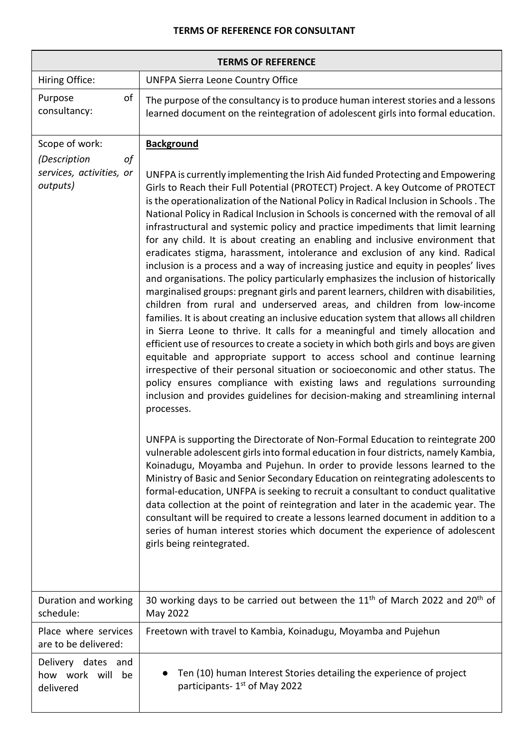## **TERMS OF REFERENCE FOR CONSULTANT**

| <b>TERMS OF REFERENCE</b>                                  |                                                                                                                                                                                                                                                                                                                                                                                                                                                                                                                                                                                                                                                                                                                                                                                                                                                                                                                                                                                                                                                                                                                                                                                                                                                                                                                                                                                                                                                                                                                                                                            |  |
|------------------------------------------------------------|----------------------------------------------------------------------------------------------------------------------------------------------------------------------------------------------------------------------------------------------------------------------------------------------------------------------------------------------------------------------------------------------------------------------------------------------------------------------------------------------------------------------------------------------------------------------------------------------------------------------------------------------------------------------------------------------------------------------------------------------------------------------------------------------------------------------------------------------------------------------------------------------------------------------------------------------------------------------------------------------------------------------------------------------------------------------------------------------------------------------------------------------------------------------------------------------------------------------------------------------------------------------------------------------------------------------------------------------------------------------------------------------------------------------------------------------------------------------------------------------------------------------------------------------------------------------------|--|
| Hiring Office:                                             | <b>UNFPA Sierra Leone Country Office</b>                                                                                                                                                                                                                                                                                                                                                                                                                                                                                                                                                                                                                                                                                                                                                                                                                                                                                                                                                                                                                                                                                                                                                                                                                                                                                                                                                                                                                                                                                                                                   |  |
| of<br>Purpose<br>consultancy:                              | The purpose of the consultancy is to produce human interest stories and a lessons<br>learned document on the reintegration of adolescent girls into formal education.                                                                                                                                                                                                                                                                                                                                                                                                                                                                                                                                                                                                                                                                                                                                                                                                                                                                                                                                                                                                                                                                                                                                                                                                                                                                                                                                                                                                      |  |
| Scope of work:                                             | <b>Background</b>                                                                                                                                                                                                                                                                                                                                                                                                                                                                                                                                                                                                                                                                                                                                                                                                                                                                                                                                                                                                                                                                                                                                                                                                                                                                                                                                                                                                                                                                                                                                                          |  |
| (Description<br>οf<br>services, activities, or<br>outputs) | UNFPA is currently implementing the Irish Aid funded Protecting and Empowering<br>Girls to Reach their Full Potential (PROTECT) Project. A key Outcome of PROTECT<br>is the operationalization of the National Policy in Radical Inclusion in Schools. The<br>National Policy in Radical Inclusion in Schools is concerned with the removal of all<br>infrastructural and systemic policy and practice impediments that limit learning<br>for any child. It is about creating an enabling and inclusive environment that<br>eradicates stigma, harassment, intolerance and exclusion of any kind. Radical<br>inclusion is a process and a way of increasing justice and equity in peoples' lives<br>and organisations. The policy particularly emphasizes the inclusion of historically<br>marginalised groups: pregnant girls and parent learners, children with disabilities,<br>children from rural and underserved areas, and children from low-income<br>families. It is about creating an inclusive education system that allows all children<br>in Sierra Leone to thrive. It calls for a meaningful and timely allocation and<br>efficient use of resources to create a society in which both girls and boys are given<br>equitable and appropriate support to access school and continue learning<br>irrespective of their personal situation or socioeconomic and other status. The<br>policy ensures compliance with existing laws and regulations surrounding<br>inclusion and provides guidelines for decision-making and streamlining internal<br>processes. |  |
|                                                            | UNFPA is supporting the Directorate of Non-Formal Education to reintegrate 200<br>vulnerable adolescent girls into formal education in four districts, namely Kambia,<br>Koinadugu, Moyamba and Pujehun. In order to provide lessons learned to the<br>Ministry of Basic and Senior Secondary Education on reintegrating adolescents to<br>formal-education, UNFPA is seeking to recruit a consultant to conduct qualitative<br>data collection at the point of reintegration and later in the academic year. The<br>consultant will be required to create a lessons learned document in addition to a<br>series of human interest stories which document the experience of adolescent<br>girls being reintegrated.                                                                                                                                                                                                                                                                                                                                                                                                                                                                                                                                                                                                                                                                                                                                                                                                                                                        |  |
| Duration and working<br>schedule:                          | 30 working days to be carried out between the 11 <sup>th</sup> of March 2022 and 20 <sup>th</sup> of<br>May 2022                                                                                                                                                                                                                                                                                                                                                                                                                                                                                                                                                                                                                                                                                                                                                                                                                                                                                                                                                                                                                                                                                                                                                                                                                                                                                                                                                                                                                                                           |  |
| Place where services<br>are to be delivered:               | Freetown with travel to Kambia, Koinadugu, Moyamba and Pujehun                                                                                                                                                                                                                                                                                                                                                                                                                                                                                                                                                                                                                                                                                                                                                                                                                                                                                                                                                                                                                                                                                                                                                                                                                                                                                                                                                                                                                                                                                                             |  |
| Delivery dates and<br>how work will<br>be<br>delivered     | Ten (10) human Interest Stories detailing the experience of project<br>participants-1 <sup>st</sup> of May 2022                                                                                                                                                                                                                                                                                                                                                                                                                                                                                                                                                                                                                                                                                                                                                                                                                                                                                                                                                                                                                                                                                                                                                                                                                                                                                                                                                                                                                                                            |  |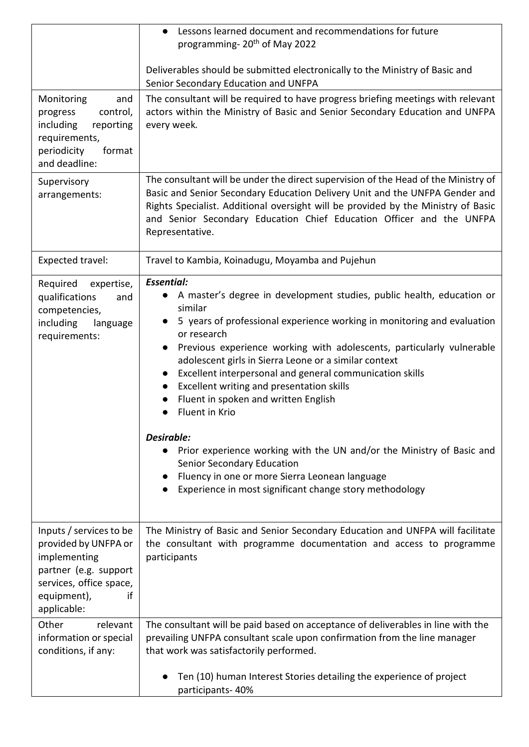|                                                                                                                                                         | Lessons learned document and recommendations for future<br>programming- 20 <sup>th</sup> of May 2022                                                                                                                                                                                                                                                                                                                                                                                                                                                                                                                                                                                                                                                                                                             |
|---------------------------------------------------------------------------------------------------------------------------------------------------------|------------------------------------------------------------------------------------------------------------------------------------------------------------------------------------------------------------------------------------------------------------------------------------------------------------------------------------------------------------------------------------------------------------------------------------------------------------------------------------------------------------------------------------------------------------------------------------------------------------------------------------------------------------------------------------------------------------------------------------------------------------------------------------------------------------------|
|                                                                                                                                                         | Deliverables should be submitted electronically to the Ministry of Basic and<br>Senior Secondary Education and UNFPA                                                                                                                                                                                                                                                                                                                                                                                                                                                                                                                                                                                                                                                                                             |
| Monitoring<br>and<br>control,<br>progress<br>including<br>reporting<br>requirements,<br>periodicity<br>format<br>and deadline:                          | The consultant will be required to have progress briefing meetings with relevant<br>actors within the Ministry of Basic and Senior Secondary Education and UNFPA<br>every week.                                                                                                                                                                                                                                                                                                                                                                                                                                                                                                                                                                                                                                  |
| Supervisory<br>arrangements:                                                                                                                            | The consultant will be under the direct supervision of the Head of the Ministry of<br>Basic and Senior Secondary Education Delivery Unit and the UNFPA Gender and<br>Rights Specialist. Additional oversight will be provided by the Ministry of Basic<br>and Senior Secondary Education Chief Education Officer and the UNFPA<br>Representative.                                                                                                                                                                                                                                                                                                                                                                                                                                                                |
| <b>Expected travel:</b>                                                                                                                                 | Travel to Kambia, Koinadugu, Moyamba and Pujehun                                                                                                                                                                                                                                                                                                                                                                                                                                                                                                                                                                                                                                                                                                                                                                 |
| Required<br>expertise,<br>qualifications<br>and<br>competencies,<br>including<br>language<br>requirements:                                              | <b>Essential:</b><br>A master's degree in development studies, public health, education or<br>similar<br>• 5 years of professional experience working in monitoring and evaluation<br>or research<br>Previous experience working with adolescents, particularly vulnerable<br>$\bullet$<br>adolescent girls in Sierra Leone or a similar context<br>Excellent interpersonal and general communication skills<br>$\bullet$<br>Excellent writing and presentation skills<br>$\bullet$<br>Fluent in spoken and written English<br>$\bullet$<br>Fluent in Krio<br>$\bullet$<br>Desirable:<br>Prior experience working with the UN and/or the Ministry of Basic and<br><b>Senior Secondary Education</b><br>Fluency in one or more Sierra Leonean language<br>Experience in most significant change story methodology |
| Inputs / services to be<br>provided by UNFPA or<br>implementing<br>partner (e.g. support<br>services, office space,<br>equipment),<br>if<br>applicable: | The Ministry of Basic and Senior Secondary Education and UNFPA will facilitate<br>the consultant with programme documentation and access to programme<br>participants                                                                                                                                                                                                                                                                                                                                                                                                                                                                                                                                                                                                                                            |
| Other<br>relevant<br>information or special<br>conditions, if any:                                                                                      | The consultant will be paid based on acceptance of deliverables in line with the<br>prevailing UNFPA consultant scale upon confirmation from the line manager<br>that work was satisfactorily performed.                                                                                                                                                                                                                                                                                                                                                                                                                                                                                                                                                                                                         |
|                                                                                                                                                         | Ten (10) human Interest Stories detailing the experience of project<br>participants-40%                                                                                                                                                                                                                                                                                                                                                                                                                                                                                                                                                                                                                                                                                                                          |